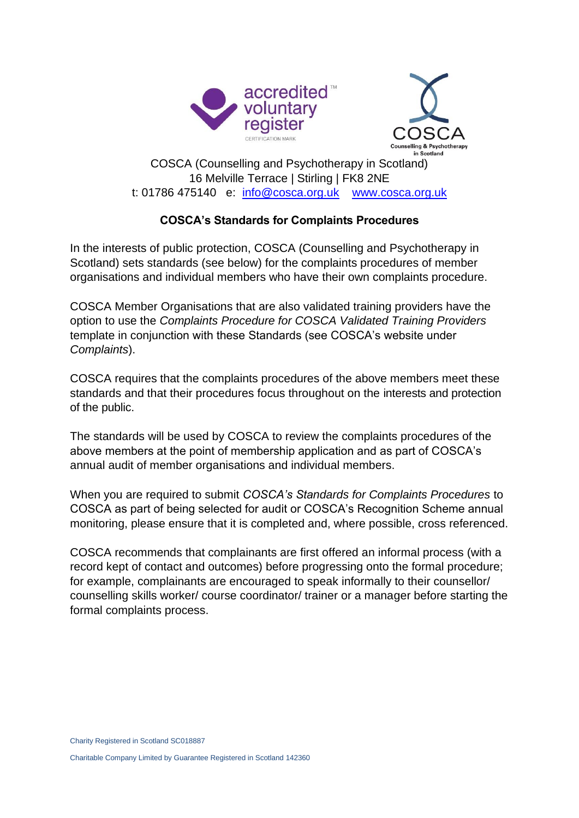



## COSCA (Counselling and Psychotherapy in Scotland) 16 Melville Terrace | Stirling | FK8 2NE t: 01786 475140 e: [info@cosca.org.uk](mailto:info@cosca.org.uk) [www.cosca.org.uk](http://www.cosca.org.uk/)

## **COSCA's Standards for Complaints Procedures**

In the interests of public protection, COSCA (Counselling and Psychotherapy in Scotland) sets standards (see below) for the complaints procedures of member organisations and individual members who have their own complaints procedure.

COSCA Member Organisations that are also validated training providers have the option to use the *Complaints Procedure for COSCA Validated Training Providers*  template in conjunction with these Standards (see COSCA's website under *Complaints*).

COSCA requires that the complaints procedures of the above members meet these standards and that their procedures focus throughout on the interests and protection of the public.

The standards will be used by COSCA to review the complaints procedures of the above members at the point of membership application and as part of COSCA's annual audit of member organisations and individual members.

When you are required to submit *COSCA's Standards for Complaints Procedures* to COSCA as part of being selected for audit or COSCA's Recognition Scheme annual monitoring, please ensure that it is completed and, where possible, cross referenced.

COSCA recommends that complainants are first offered an informal process (with a record kept of contact and outcomes) before progressing onto the formal procedure; for example, complainants are encouraged to speak informally to their counsellor/ counselling skills worker/ course coordinator/ trainer or a manager before starting the formal complaints process.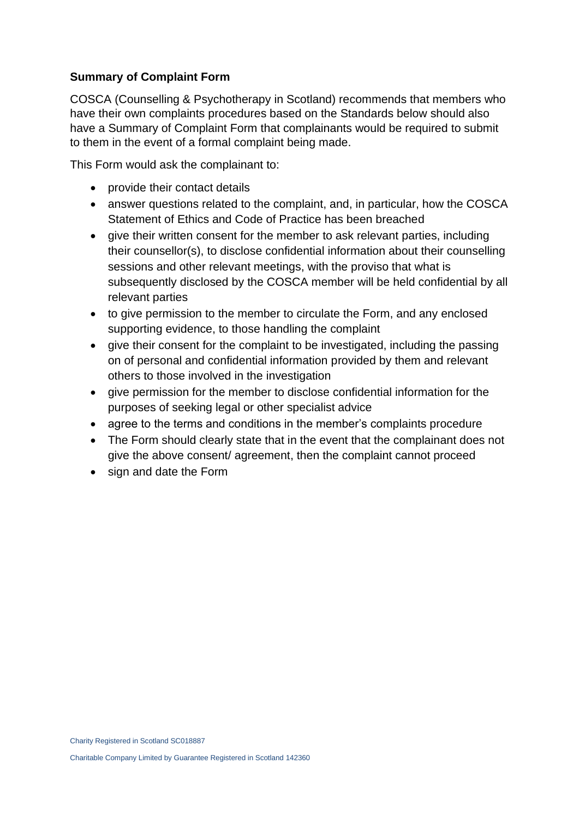## **Summary of Complaint Form**

COSCA (Counselling & Psychotherapy in Scotland) recommends that members who have their own complaints procedures based on the Standards below should also have a Summary of Complaint Form that complainants would be required to submit to them in the event of a formal complaint being made.

This Form would ask the complainant to:

- provide their contact details
- answer questions related to the complaint, and, in particular, how the COSCA Statement of Ethics and Code of Practice has been breached
- give their written consent for the member to ask relevant parties, including their counsellor(s), to disclose confidential information about their counselling sessions and other relevant meetings, with the proviso that what is subsequently disclosed by the COSCA member will be held confidential by all relevant parties
- to give permission to the member to circulate the Form, and any enclosed supporting evidence, to those handling the complaint
- give their consent for the complaint to be investigated, including the passing on of personal and confidential information provided by them and relevant others to those involved in the investigation
- give permission for the member to disclose confidential information for the purposes of seeking legal or other specialist advice
- agree to the terms and conditions in the member's complaints procedure
- The Form should clearly state that in the event that the complainant does not give the above consent/ agreement, then the complaint cannot proceed
- sign and date the Form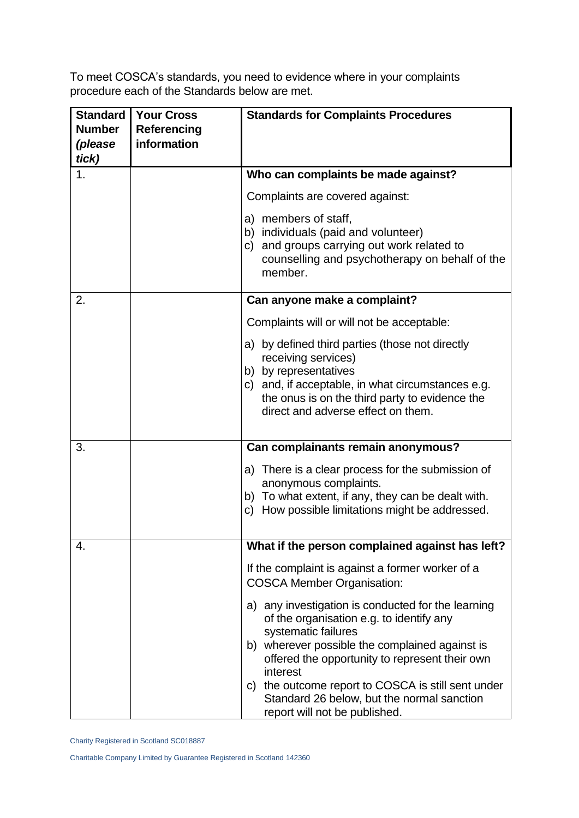To meet COSCA's standards, you need to evidence where in your complaints procedure each of the Standards below are met.

| <b>Standard</b><br><b>Number</b> | <b>Your Cross</b><br><b>Referencing</b> | <b>Standards for Complaints Procedures</b>                                                                                                                                                                                                                                                                                                                                 |
|----------------------------------|-----------------------------------------|----------------------------------------------------------------------------------------------------------------------------------------------------------------------------------------------------------------------------------------------------------------------------------------------------------------------------------------------------------------------------|
| (please<br>tick)                 | information                             |                                                                                                                                                                                                                                                                                                                                                                            |
| 1.                               |                                         | Who can complaints be made against?                                                                                                                                                                                                                                                                                                                                        |
|                                  |                                         | Complaints are covered against:                                                                                                                                                                                                                                                                                                                                            |
|                                  |                                         | a) members of staff,<br>b) individuals (paid and volunteer)<br>c) and groups carrying out work related to<br>counselling and psychotherapy on behalf of the<br>member.                                                                                                                                                                                                     |
| 2.                               |                                         | Can anyone make a complaint?                                                                                                                                                                                                                                                                                                                                               |
|                                  |                                         | Complaints will or will not be acceptable:                                                                                                                                                                                                                                                                                                                                 |
|                                  |                                         | a) by defined third parties (those not directly<br>receiving services)<br>b) by representatives<br>c) and, if acceptable, in what circumstances e.g.<br>the onus is on the third party to evidence the<br>direct and adverse effect on them.                                                                                                                               |
| 3.                               |                                         | Can complainants remain anonymous?                                                                                                                                                                                                                                                                                                                                         |
|                                  |                                         | a) There is a clear process for the submission of<br>anonymous complaints.<br>b) To what extent, if any, they can be dealt with.<br>c) How possible limitations might be addressed.                                                                                                                                                                                        |
| 4.                               |                                         | What if the person complained against has left?                                                                                                                                                                                                                                                                                                                            |
|                                  |                                         | If the complaint is against a former worker of a<br><b>COSCA Member Organisation:</b>                                                                                                                                                                                                                                                                                      |
|                                  |                                         | a) any investigation is conducted for the learning<br>of the organisation e.g. to identify any<br>systematic failures<br>b) wherever possible the complained against is<br>offered the opportunity to represent their own<br>interest<br>c) the outcome report to COSCA is still sent under<br>Standard 26 below, but the normal sanction<br>report will not be published. |

Charity Registered in Scotland SC018887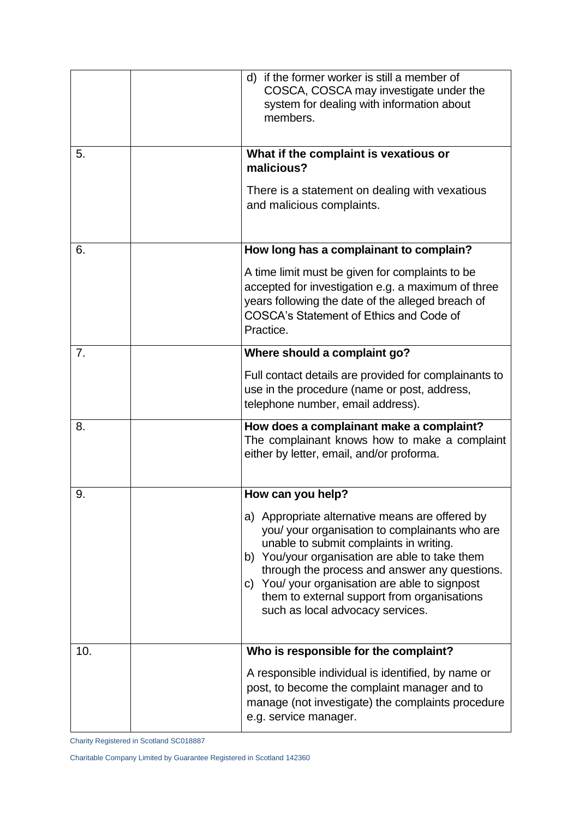|     | d) if the former worker is still a member of<br>COSCA, COSCA may investigate under the<br>system for dealing with information about<br>members.                                                                                                                                                                                                                                      |
|-----|--------------------------------------------------------------------------------------------------------------------------------------------------------------------------------------------------------------------------------------------------------------------------------------------------------------------------------------------------------------------------------------|
| 5.  | What if the complaint is vexatious or<br>malicious?                                                                                                                                                                                                                                                                                                                                  |
|     | There is a statement on dealing with vexatious<br>and malicious complaints.                                                                                                                                                                                                                                                                                                          |
| 6.  | How long has a complainant to complain?                                                                                                                                                                                                                                                                                                                                              |
|     | A time limit must be given for complaints to be<br>accepted for investigation e.g. a maximum of three<br>years following the date of the alleged breach of<br><b>COSCA's Statement of Ethics and Code of</b><br>Practice.                                                                                                                                                            |
| 7.  | Where should a complaint go?                                                                                                                                                                                                                                                                                                                                                         |
|     | Full contact details are provided for complainants to<br>use in the procedure (name or post, address,<br>telephone number, email address).                                                                                                                                                                                                                                           |
| 8.  | How does a complainant make a complaint?<br>The complainant knows how to make a complaint<br>either by letter, email, and/or proforma.                                                                                                                                                                                                                                               |
| 9.  | How can you help?                                                                                                                                                                                                                                                                                                                                                                    |
|     | a) Appropriate alternative means are offered by<br>you/ your organisation to complainants who are<br>unable to submit complaints in writing.<br>b) You/your organisation are able to take them<br>through the process and answer any questions.<br>c) You/ your organisation are able to signpost<br>them to external support from organisations<br>such as local advocacy services. |
| 10. | Who is responsible for the complaint?                                                                                                                                                                                                                                                                                                                                                |
|     | A responsible individual is identified, by name or<br>post, to become the complaint manager and to<br>manage (not investigate) the complaints procedure<br>e.g. service manager.                                                                                                                                                                                                     |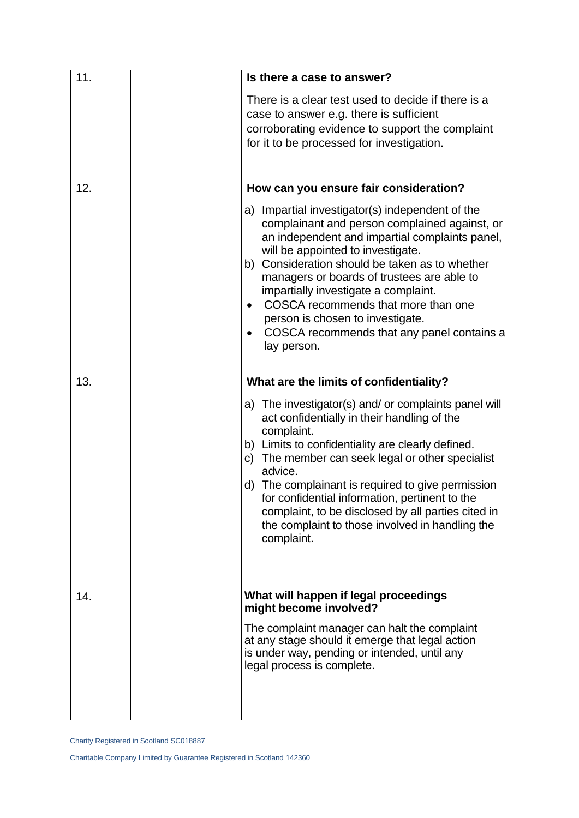| 11. | Is there a case to answer?                                                                                                                                                                                                                                                                                                                                                                                                                                                           |
|-----|--------------------------------------------------------------------------------------------------------------------------------------------------------------------------------------------------------------------------------------------------------------------------------------------------------------------------------------------------------------------------------------------------------------------------------------------------------------------------------------|
|     | There is a clear test used to decide if there is a<br>case to answer e.g. there is sufficient<br>corroborating evidence to support the complaint<br>for it to be processed for investigation.                                                                                                                                                                                                                                                                                        |
| 12. | How can you ensure fair consideration?                                                                                                                                                                                                                                                                                                                                                                                                                                               |
|     | a) Impartial investigator(s) independent of the<br>complainant and person complained against, or<br>an independent and impartial complaints panel,<br>will be appointed to investigate.<br>b) Consideration should be taken as to whether<br>managers or boards of trustees are able to<br>impartially investigate a complaint.<br>COSCA recommends that more than one<br>$\bullet$<br>person is chosen to investigate.<br>COSCA recommends that any panel contains a<br>lay person. |
| 13. | What are the limits of confidentiality?                                                                                                                                                                                                                                                                                                                                                                                                                                              |
|     | a) The investigator(s) and/ or complaints panel will<br>act confidentially in their handling of the<br>complaint.<br>b) Limits to confidentiality are clearly defined.<br>The member can seek legal or other specialist<br>C)<br>advice.<br>The complainant is required to give permission<br>d)<br>for confidential information, pertinent to the<br>complaint, to be disclosed by all parties cited in<br>the complaint to those involved in handling the<br>complaint.            |
| 14. | What will happen if legal proceedings<br>might become involved?<br>The complaint manager can halt the complaint<br>at any stage should it emerge that legal action<br>is under way, pending or intended, until any<br>legal process is complete.                                                                                                                                                                                                                                     |
|     |                                                                                                                                                                                                                                                                                                                                                                                                                                                                                      |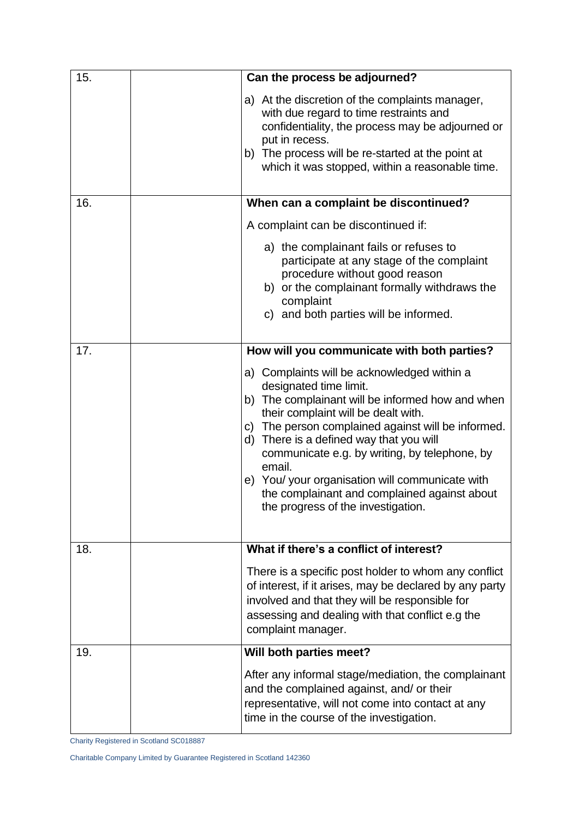| 15. | Can the process be adjourned?                                                                                                                                                                                                                                                                                                                                                                                                                                         |
|-----|-----------------------------------------------------------------------------------------------------------------------------------------------------------------------------------------------------------------------------------------------------------------------------------------------------------------------------------------------------------------------------------------------------------------------------------------------------------------------|
|     | a) At the discretion of the complaints manager,<br>with due regard to time restraints and<br>confidentiality, the process may be adjourned or<br>put in recess.<br>b) The process will be re-started at the point at<br>which it was stopped, within a reasonable time.                                                                                                                                                                                               |
| 16. | When can a complaint be discontinued?                                                                                                                                                                                                                                                                                                                                                                                                                                 |
|     | A complaint can be discontinued if:                                                                                                                                                                                                                                                                                                                                                                                                                                   |
|     | a) the complainant fails or refuses to<br>participate at any stage of the complaint<br>procedure without good reason<br>b) or the complainant formally withdraws the<br>complaint<br>c) and both parties will be informed.                                                                                                                                                                                                                                            |
| 17. | How will you communicate with both parties?                                                                                                                                                                                                                                                                                                                                                                                                                           |
|     | a) Complaints will be acknowledged within a<br>designated time limit.<br>b) The complainant will be informed how and when<br>their complaint will be dealt with.<br>c) The person complained against will be informed.<br>d) There is a defined way that you will<br>communicate e.g. by writing, by telephone, by<br>email.<br>e) You/ your organisation will communicate with<br>the complainant and complained against about<br>the progress of the investigation. |
| 18. | What if there's a conflict of interest?                                                                                                                                                                                                                                                                                                                                                                                                                               |
|     | There is a specific post holder to whom any conflict<br>of interest, if it arises, may be declared by any party<br>involved and that they will be responsible for<br>assessing and dealing with that conflict e.g the<br>complaint manager.                                                                                                                                                                                                                           |
| 19. | Will both parties meet?                                                                                                                                                                                                                                                                                                                                                                                                                                               |
|     | After any informal stage/mediation, the complainant<br>and the complained against, and/ or their<br>representative, will not come into contact at any<br>time in the course of the investigation.                                                                                                                                                                                                                                                                     |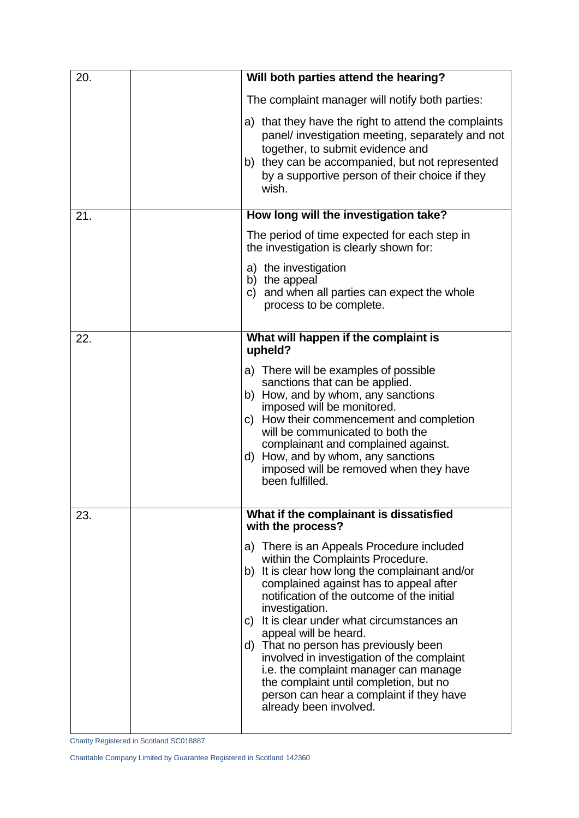| 20. | Will both parties attend the hearing?                                                                                                                                                                                                                                                                                                                                                                                                                                                                                                                            |
|-----|------------------------------------------------------------------------------------------------------------------------------------------------------------------------------------------------------------------------------------------------------------------------------------------------------------------------------------------------------------------------------------------------------------------------------------------------------------------------------------------------------------------------------------------------------------------|
|     | The complaint manager will notify both parties:                                                                                                                                                                                                                                                                                                                                                                                                                                                                                                                  |
|     | a) that they have the right to attend the complaints<br>panel/ investigation meeting, separately and not<br>together, to submit evidence and<br>b) they can be accompanied, but not represented<br>by a supportive person of their choice if they<br>wish.                                                                                                                                                                                                                                                                                                       |
| 21. | How long will the investigation take?                                                                                                                                                                                                                                                                                                                                                                                                                                                                                                                            |
|     | The period of time expected for each step in<br>the investigation is clearly shown for:                                                                                                                                                                                                                                                                                                                                                                                                                                                                          |
|     | a) the investigation<br>b) the appeal<br>c) and when all parties can expect the whole<br>process to be complete.                                                                                                                                                                                                                                                                                                                                                                                                                                                 |
| 22. | What will happen if the complaint is<br>upheld?                                                                                                                                                                                                                                                                                                                                                                                                                                                                                                                  |
|     | a) There will be examples of possible<br>sanctions that can be applied.<br>b) How, and by whom, any sanctions<br>imposed will be monitored.<br>c) How their commencement and completion<br>will be communicated to both the<br>complainant and complained against.<br>d) How, and by whom, any sanctions<br>imposed will be removed when they have<br>been fulfilled.                                                                                                                                                                                            |
| 23. | What if the complainant is dissatisfied<br>with the process?                                                                                                                                                                                                                                                                                                                                                                                                                                                                                                     |
|     | a) There is an Appeals Procedure included<br>within the Complaints Procedure.<br>b) It is clear how long the complainant and/or<br>complained against has to appeal after<br>notification of the outcome of the initial<br>investigation.<br>c) It is clear under what circumstances an<br>appeal will be heard.<br>d) That no person has previously been<br>involved in investigation of the complaint<br>i.e. the complaint manager can manage<br>the complaint until completion, but no<br>person can hear a complaint if they have<br>already been involved. |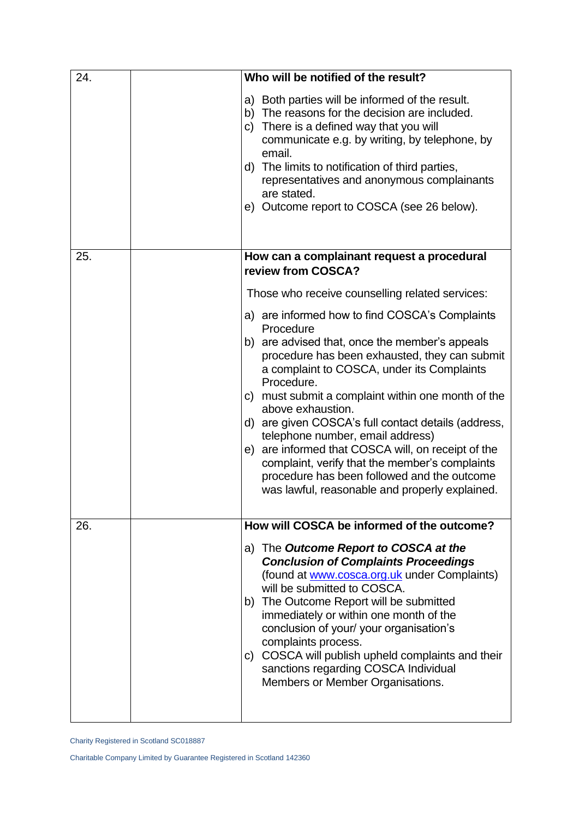| 24. | Who will be notified of the result?                                                                                                                                                                                                                                                                                                                                                                                                                                                                                                                                                                       |
|-----|-----------------------------------------------------------------------------------------------------------------------------------------------------------------------------------------------------------------------------------------------------------------------------------------------------------------------------------------------------------------------------------------------------------------------------------------------------------------------------------------------------------------------------------------------------------------------------------------------------------|
|     | a) Both parties will be informed of the result.<br>The reasons for the decision are included.<br>b)<br>c) There is a defined way that you will<br>communicate e.g. by writing, by telephone, by<br>email.<br>d) The limits to notification of third parties,<br>representatives and anonymous complainants<br>are stated.<br>e) Outcome report to COSCA (see 26 below).                                                                                                                                                                                                                                   |
| 25. | How can a complainant request a procedural<br>review from COSCA?                                                                                                                                                                                                                                                                                                                                                                                                                                                                                                                                          |
|     | Those who receive counselling related services:                                                                                                                                                                                                                                                                                                                                                                                                                                                                                                                                                           |
|     | a) are informed how to find COSCA's Complaints<br>Procedure<br>b) are advised that, once the member's appeals<br>procedure has been exhausted, they can submit<br>a complaint to COSCA, under its Complaints<br>Procedure.<br>c) must submit a complaint within one month of the<br>above exhaustion.<br>d) are given COSCA's full contact details (address,<br>telephone number, email address)<br>e) are informed that COSCA will, on receipt of the<br>complaint, verify that the member's complaints<br>procedure has been followed and the outcome<br>was lawful, reasonable and properly explained. |
| 26. | How will COSCA be informed of the outcome?                                                                                                                                                                                                                                                                                                                                                                                                                                                                                                                                                                |
|     | a) The Outcome Report to COSCA at the<br><b>Conclusion of Complaints Proceedings</b><br>(found at www.cosca.org.uk under Complaints)<br>will be submitted to COSCA.<br>b) The Outcome Report will be submitted<br>immediately or within one month of the<br>conclusion of your/ your organisation's<br>complaints process.<br>c) COSCA will publish upheld complaints and their<br>sanctions regarding COSCA Individual<br>Members or Member Organisations.                                                                                                                                               |